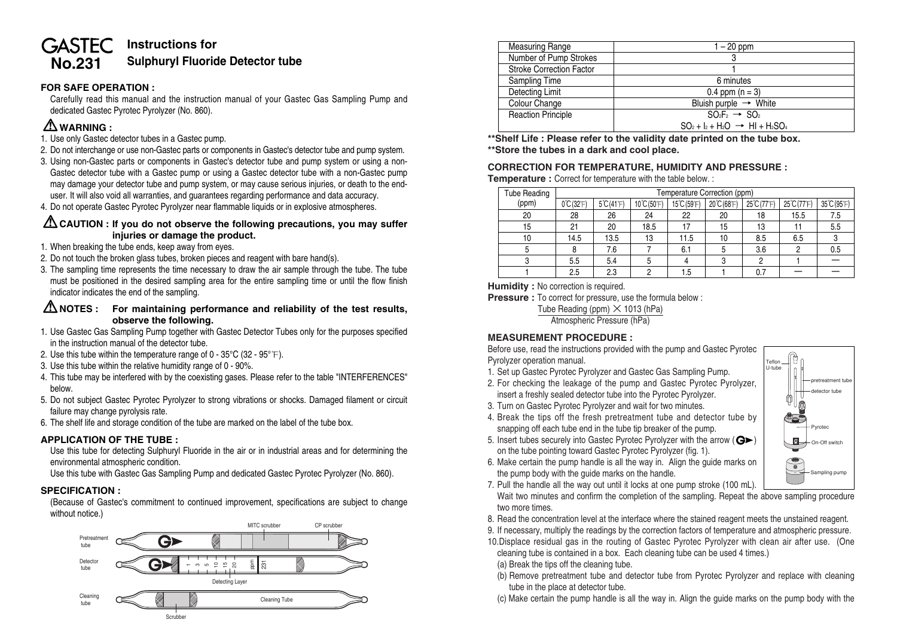# **Instructions for GASTEC No.231 Sulphuryl Fluoride Detector tube**

# **FOR SAFE OPERATION :**

Carefully read this manual and the instruction manual of your Gastec Gas Sampling Pump and dedicated Gastec Pyrotec Pyrolyzer (No. 860).

# **WARNING :**

- 1. Use only Gastec detector tubes in a Gastec pump.
- 2. Do not interchange or use non-Gastec parts or components in Gastec's detector tube and pump system.
- 3. Using non-Gastec parts or components in Gastec's detector tube and pump system or using a non-Gastec detector tube with a Gastec pump or using a Gastec detector tube with a non-Gastec pump may damage your detector tube and pump system, or may cause serious injuries, or death to the enduser. It will also void all warranties, and guarantees regarding performance and data accuracy.
- 4. Do not operate Gastec Pyrotec Pyrolyzer near flammable liquids or in explosive atmospheres.

# **CAUTION : If you do not observe the following precautions, you may suffer injuries or damage the product.**

#### 1. When breaking the tube ends, keep away from eyes.

- 2. Do not touch the broken glass tubes, broken pieces and reagent with bare hand(s).
- 3. The sampling time represents the time necessary to draw the air sample through the tube. The tube must be positioned in the desired sampling area for the entire sampling time or until the flow finish indicator indicates the end of the sampling.

### **NOTES : For maintaining performance and reliability of the test results, observe the following.**

- 1. Use Gastec Gas Sampling Pump together with Gastec Detector Tubes only for the purposes specified in the instruction manual of the detector tube.
- 2. Use this tube within the temperature range of  $0 35^{\circ}C$  (32  $95^{\circ}F$ ).
- 3. Use this tube within the relative humidity range of 0 90%.
- 4. This tube may be interfered with by the coexisting gases. Please refer to the table "INTERFERENCES" below.
- 5. Do not subject Gastec Pyrotec Pyrolyzer to strong vibrations or shocks. Damaged filament or circuit failure may change pyrolysis rate.
- 6. The shelf life and storage condition of the tube are marked on the label of the tube box.

#### **APPLICATION OF THE TUBE :**

Use this tube for detecting Sulphuryl Fluoride in the air or in industrial areas and for determining the environmental atmospheric condition.

Use this tube with Gastec Gas Sampling Pump and dedicated Gastec Pyrotec Pyrolyzer (No. 860).

# **SPECIFICATION :**

(Because of Gastec's commitment to continued improvement, specifications are subject to change without notice.)



| <b>Measuring Range</b>          | $1 - 20$ ppm                                 |  |  |  |
|---------------------------------|----------------------------------------------|--|--|--|
| Number of Pump Strokes          | 3                                            |  |  |  |
| <b>Stroke Correction Factor</b> |                                              |  |  |  |
| Sampling Time                   | 6 minutes                                    |  |  |  |
| Detecting Limit                 | $0.4$ ppm $(n = 3)$                          |  |  |  |
| Colour Change                   | Bluish purple $\rightarrow$ White            |  |  |  |
| <b>Reaction Principle</b>       | $SO_2F_2 \rightarrow SO_2$                   |  |  |  |
|                                 | $SO_2 + I_2 + H_2O \rightarrow HI + H_2SO_4$ |  |  |  |

**\*\*Shelf Life : Please refer to the validity date printed on the tube box. \*\*Store the tubes in a dark and cool place.**

# **CORRECTION FOR TEMPERATURE, HUMIDITY AND PRESSURE :**

**Temperature :** Correct for temperature with the table below. :

| <b>Tube Reading</b> | Temperature Correction (ppm)  |                           |             |             |             |             |             |             |
|---------------------|-------------------------------|---------------------------|-------------|-------------|-------------|-------------|-------------|-------------|
| (ppm)               | $0^{\circ}$ C $(32^{\circ}F)$ | $5^{\circ}C(41^{\circ}F)$ | 10°C (50°F) | 15°C (59°F) | 20°C (68°F) | 25°C (77°F) | 25°C (77°F) | 35°C (95°F) |
| 20                  | 28                            | 26                        | 24          | 22          | 20          | 18          | 15.5        | 7.5         |
| 15                  | 21                            | 20                        | 18.5        | 17          | 15          | 13          |             | 5.5         |
| 10                  | 14.5                          | 13.5                      | 13          | 11.5        | 10          | 8.5         | 6.5         |             |
| 5                   |                               | 7.6                       |             | 6.1         | 5           | 3.6         |             | 0.5         |
|                     | 5.5                           | 5.4                       |             |             | 3           |             |             |             |
|                     | 2.5                           | 2.3                       |             | 1.5         |             |             |             |             |

**Humidity:** No correction is required.

**Pressure :** To correct for pressure, use the formula below :

Tube Reading (ppm)  $\times$  1013 (hPa)

Atmospheric Pressure (hPa)

# **MEASUREMENT PROCEDURE :**

Before use, read the instructions provided with the pump and Gastec Pyrotec Pyrolyzer operation manual.

- 1. Set up Gastec Pyrotec Pyrolyzer and Gastec Gas Sampling Pump.
- 2. For checking the leakage of the pump and Gastec Pyrotec Pyrolyzer, insert a freshly sealed detector tube into the Pyrotec Pyrolyzer.
- 3. Turn on Gastec Pyrotec Pyrolyzer and wait for two minutes.
- 4. Break the tips off the fresh pretreatment tube and detector tube by snapping off each tube end in the tube tip breaker of the pump.



- 5. Insert tubes securely into Gastec Pyrotec Pyrolyzer with the arrow ( $\mathbf{G}$ ) on the tube pointing toward Gastec Pyrotec Pyrolyzer (fig. 1).
- 6. Make certain the pump handle is all the way in. Align the guide marks on the pump body with the guide marks on the handle.
- 7. Pull the handle all the way out until it locks at one pump stroke (100 mL). Wait two minutes and confirm the completion of the sampling. Repeat the above sampling procedure two more times.
- 8. Read the concentration level at the interface where the stained reagent meets the unstained reagent.
- 9. If necessary, multiply the readings by the correction factors of temperature and atmospheric pressure.
- 10.Displace residual gas in the routing of Gastec Pyrotec Pyrolyzer with clean air after use. (One cleaning tube is contained in a box. Each cleaning tube can be used 4 times.)
	- (a) Break the tips off the cleaning tube.
- (b) Remove pretreatment tube and detector tube from Pyrotec Pyrolyzer and replace with cleaning tube in the place at detector tube.
- (c) Make certain the pump handle is all the way in. Align the guide marks on the pump body with the